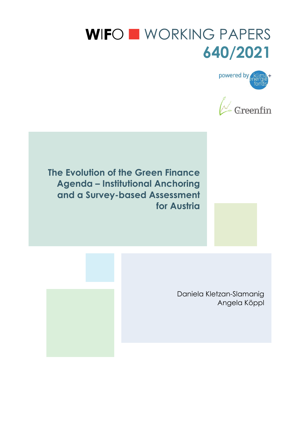# WIFO WORKING PAPERS **640/2021**





**The Evolution of the Green Finance Agenda – Institutional Anchoring and a Survey-based Assessment for Austria** 

> Daniela Kletzan-Slamanig Angela Köppl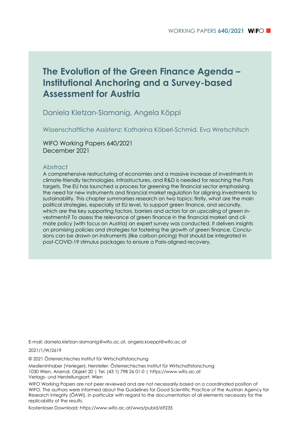# **The Evolution of the Green Finance Agenda – Institutional Anchoring and a Survey-based Assessment for Austria**

Daniela Kletzan-Slamanig, Angela Köppl

Wissenschaftliche Assistenz: Katharina Köberl-Schmid, Eva Wretschitsch

WIFO Working Papers 640/2021 December 2021

#### Abstract

A comprehensive restructuring of economies and a massive increase of investments in climate-friendly technologies, infrastructures, and R&D is needed for reaching the Paris targets. The EU has launched a process for greening the financial sector emphasising the need for new instruments and financial market regulation for aligning investments to sustainability. This chapter summarises research on two topics: firstly, what are the main political strategies, especially at EU level, to support green finance, and secondly, which are the key supporting factors, barriers and actors for an upscaling of green investments? To assess the relevance of green finance in the financial market and climate policy (with focus on Austria) an expert survey was conducted. It delivers insights on promising policies and strategies for fostering the growth of green finance. Conclusions can be drawn on instruments (like carbon pricing) that should be integrated in post-COVID-19 stimulus packages to ensure a Paris-aligned recovery.

E-mail: daniela.kletzan-slamanig@wifo.ac.at, angela.koeppl@wifo.ac.at

2021/1/W/2619

© 2021 Österreichisches Institut für Wirtschaftsforschung

Medieninhaber (Verleger), Hersteller: Österreichisches Institut für Wirtschaftsforschung 1030 Wien, Arsenal, Objekt 20 | Tel. (43 1) 798 26 01-0 | https://www.wifo.ac.at Verlags- und Herstellungsort: Wien

WIFO Working Papers are not peer reviewed and are not necessarily based on a coordinated position of WIFO. The authors were informed about the Guidelines for Good Scientific Practice of the Austrian Agency for Research Integrity (ÖAWI), in particular with regard to the documentation of all elements necessary for the replicability of the results.

Kostenloser Download: https://www.wifo.ac.at/wwa/pubid/69235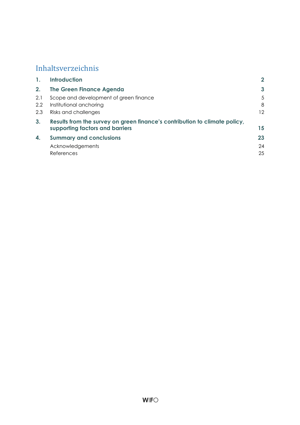# Inhaltsverzeichnis

| $\mathbf{1}$ . | <b>Introduction</b>                                                        | $\mathbf{2}$ |  |  |  |  |
|----------------|----------------------------------------------------------------------------|--------------|--|--|--|--|
| 2.             | <b>The Green Finance Agenda</b>                                            | 3            |  |  |  |  |
| 2.1            | Scope and development of green finance                                     | 5            |  |  |  |  |
| 2.2            | Institutional anchoring                                                    | 8            |  |  |  |  |
| 2.3            | Risks and challenges                                                       | 12           |  |  |  |  |
| 3 <sub>1</sub> | Results from the survey on green finance's contribution to climate policy, |              |  |  |  |  |
|                | supporting factors and barriers                                            | 15           |  |  |  |  |
| 4.             | <b>Summary and conclusions</b>                                             | 23           |  |  |  |  |
|                | Acknowledgements                                                           | 24           |  |  |  |  |
|                | References                                                                 | 25           |  |  |  |  |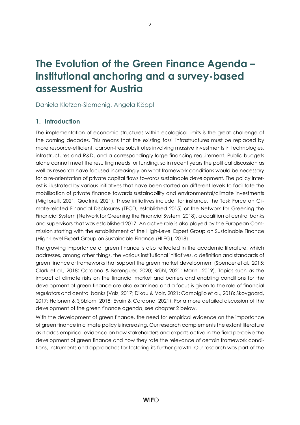# The Evolution of the Green Finance Agenda – institutional anchoring and a survey-based assessment for Austria

Daniela Kletzan-Slamanig, Angela Köppl

# 1. Introduction

The implementation of economic structures within ecological limits is the great challenge of the coming decades. This means that the existing fossil infrastructures must be replaced by more resource-efficient, carbon-free substitutes involving massive investments in technologies, infrastructures and R&D, and a correspondingly large financing requirement. Public budgets alone cannot meet the resulting needs for funding, so in recent years the political discussion as well as research have focused increasingly on what framework conditions would be necessary for a re-orientation of private capital flows towards sustainable development. The policy interest is illustrated by various initiatives that have been started on different levels to facilitate the mobilisation of private finance towards sustainability and environmental/climate investments (Migliorelli, 2021, Quatrini, 2021). These initiatives include, for instance, the Task Force on Climate-related Financial Disclosures (TFCD, established 2015) or the Network for Greening the Financial System (Network for Greening the Financial System, 2018), a coalition of central banks and supervisors that was established 2017. An active role is also played by the European Commission starting with the establishment of the High-Level Expert Group on Sustainable Finance (High-Level Expert Group on Sustainable Finance (HLEG), 2018).

The growing importance of green finance is also reflected in the academic literature, which addresses, among other things, the various institutional initiatives, a definition and standards of green finance or frameworks that support the green market development (Spencer et al., 2015; Clark et al., 2018; Cardona & Berenguer, 2020; Brühl, 2021; Marini, 2019). Topics such as the impact of climate risks on the financial market and barriers and enabling conditions for the development of green finance are also examined and a focus is given to the role of financial regulators and central banks (Volz, 2017; Dikau & Volz, 2021; Campiglio et al., 2018; Skovgaard, 2017; Halonen & Sjöblom, 2018; Evain & Cardona, 2021). For a more detailed discussion of the development of the green finance agenda, see chapter 2 below.

With the development of green finance, the need for empirical evidence on the importance of green finance in climate policy is increasing. Our research complements the extant literature as it adds empirical evidence on how stakeholders and experts active in the field perceive the development of green finance and how they rate the relevance of certain framework conditions, instruments and approaches for fostering its further growth. Our research was part of the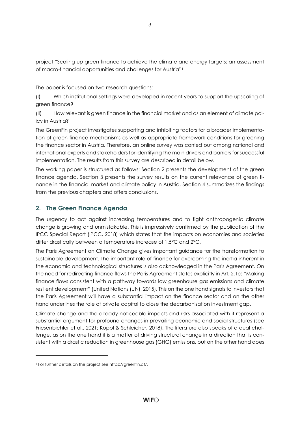project "Scaling-up green finance to achieve the climate and energy targets: an assessment of macro-financial opportunities and challenges for Austria"<sup>1</sup>

The paper is focused on two research questions:

(I) Which institutional settings were developed in recent years to support the upscaling of green finance?

(II) How relevant is green finance in the financial market and as an element of climate policy in Austria?

The GreenFin project investigates supporting and inhibiting factors for a broader implementation of green finance mechanisms as well as appropriate framework conditions for greening the finance sector in Austria. Therefore, an online survey was carried out among national and international experts and stakeholders for identifying the main drivers and barriers for successful implementation. The results from this survey are described in detail below.

The working paper is structured as follows: Section 2 presents the development of the green finance agenda. Section 3 presents the survey results on the current relevance of green finance in the financial market and climate policy in Austria. Section 4 summarizes the findings from the previous chapters and offers conclusions.

# 2. The Green Finance Agenda

The urgency to act against increasing temperatures and to fight anthropogenic climate change is growing and unmistakable. This is impressively confirmed by the publication of the IPCC Special Report (IPCC, 2018) which states that the impacts on economies and societies differ drastically between a temperature increase of 1.5°C and 2°C.

The Paris Agreement on Climate Change gives important guidance for the transformation to sustainable development. The important role of finance for overcoming the inertia inherent in the economic and technological structures is also acknowledged in the Paris Agreement. On the need for redirecting finance flows the Paris Agreement states explicitly in Art. 2.1c: "Making finance flows consistent with a pathway towards low greenhouse gas emissions and climate resilient development" (United Nations (UN), 2015). This on the one hand signals to investors that the Paris Agreement will have a substantial impact on the finance sector and on the other hand underlines the role of private capital to close the decarbonisation investment gap.

Climate change and the already noticeable impacts and risks associated with it represent a substantial argument for profound changes in prevailing economic and social structures (see Friesenbichler et al., 2021; Köppl & Schleicher, 2018). The literature also speaks of a dual challenge, as on the one hand it is a matter of driving structural change in a direction that is consistent with a drastic reduction in greenhouse gas (GHG) emissions, but on the other hand does

<sup>1</sup> For further details on the project see https://greenfin.at/.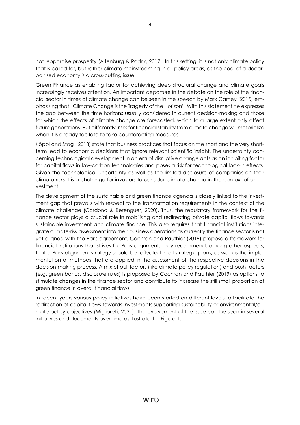not jeopardise prosperity (Altenburg & Rodrik, 2017). In this setting, it is not only climate policy that is called for, but rather climate mainstreaming in all policy areas, as the goal of a decarbonised economy is a cross-cutting issue.

Green Finance as enabling factor for achieving deep structural change and climate goals increasingly receives attention. An important departure in the debate on the role of the financial sector in times of climate change can be seen in the speech by Mark Carney (2015) emphasising that "Climate Change is the Tragedy of the Horizon". With this statement he expresses the gap between the time horizons usually considered in current decision-making and those for which the effects of climate change are forecasted, which to a large extent only affect future generations. Put differently, risks for financial stability from climate change will materialize when it is already too late to take counteracting measures.

Köppl and Stagl (2018) state that business practices that focus on the short and the very shortterm lead to economic decisions that ignore relevant scientific insight. The uncertainty concerning technological development in an era of disruptive change acts as an inhibiting factor for capital flows in low-carbon technologies and poses a risk for technological lock-in effects. Given the technological uncertainty as well as the limited disclosure of companies on their climate risks it is a challenge for investors to consider climate change in the context of an investment.

The development of the sustainable and green finance agenda is closely linked to the investment gap that prevails with respect to the transformation requirements in the context of the climate challenge (Cardona & Berenguer, 2020). Thus, the regulatory framework for the finance sector plays a crucial role in mobilising and redirecting private capital flows towards sustainable investment and climate finance. This also requires that financial institutions integrate climate-risk assessment into their business operations as currently the finance sector is not yet aligned with the Paris agreement. Cochran and Pauthier (2019) propose a framework for financial institutions that strives for Paris alignment. They recommend, among other aspects, that a Paris alignment strategy should be reflected in all strategic plans, as well as the implementation of methods that are applied in the assessment of the respective decisions in the decision-making process. A mix of pull factors (like climate policy regulation) and push factors (e.g. green bonds, disclosure rules) is proposed by Cochran and Pauthier (2019) as options to stimulate changes in the finance sector and contribute to increase the still small proportion of green finance in overall financial flows.

In recent years various policy initiatives have been started on different levels to facilitate the redirection of capital flows towards investments supporting sustainability or environmental/climate policy objectives (Migliorelli, 2021). The evolvement of the issue can be seen in several initiatives and documents over time as illustrated in Figure 1.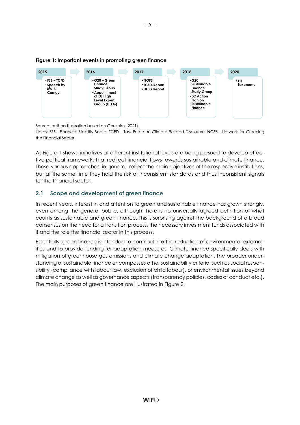

#### Figure 1: Important events in promoting green finance

Source: authors illustration based on Gonzales (2021).

Notes: FSB - Financial Stability Board, TCFD – Task Force on Climate Related Disclosure, NGFS - Network for Greening the Financial Sector.

As Figure 1 shows, initiatives at different institutional levels are being pursued to develop effective political frameworks that redirect financial flows towards sustainable and climate finance. These various approaches, in general, reflect the main objectives of the respective institutions, but at the same time they hold the risk of inconsistent standards and thus inconsistent signals for the financial sector.

# 2.1 Scope and development of green finance

In recent years, interest in and attention to green and sustainable finance has grown strongly, even among the general public, although there is no universally agreed definition of what counts as sustainable and green finance. This is surprising against the background of a broad consensus on the need for a transition process, the necessary investment funds associated with it and the role the financial sector in this process.

Essentially, green finance is intended to contribute to the reduction of environmental externalities and to provide funding for adaptation measures. Climate finance specifically deals with mitigation of greenhouse gas emissions and climate change adaptation. The broader understanding of sustainable finance encompasses other sustainability criteria, such as social responsibility (compliance with labour law, exclusion of child labour), or environmental issues beyond climate change as well as governance aspects (transparency policies, codes of conduct etc.). The main purposes of green finance are illustrated in Figure 2.

– 5 –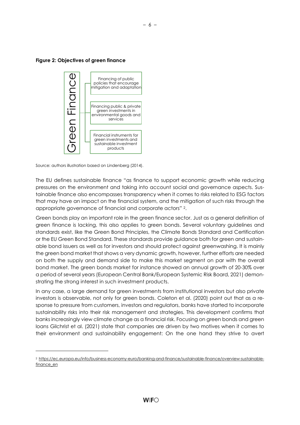Figure 2: Objectives of green finance



Source: authors illustration based on Lindenberg (2014).

The EU defines sustainable finance "as finance to support economic growth while reducing pressures on the environment and taking into account social and governance aspects. Sustainable finance also encompasses transparency when it comes to risks related to ESG factors that may have an impact on the financial system, and the mitigation of such risks through the appropriate governance of financial and corporate actors" 2.

Green bonds play an important role in the green finance sector. Just as a general definition of green finance is lacking, this also applies to green bonds. Several voluntary guidelines and standards exist, like the Green Bond Principles, the Climate Bonds Standard and Certification or the EU Green Bond Standard. These standards provide guidance both for green and sustainable bond issuers as well as for investors and should protect against greenwashing. It is mainly the green bond market that shows a very dynamic growth, however, further efforts are needed on both the supply and demand side to make this market segment on par with the overall bond market. The green bonds market for instance showed an annual growth of 20-30% over a period of several years (European Central Bank/European Systemic Risk Board, 2021) demonstrating the strong interest in such investment products. Financing dipublic method controlling public & private protection and adaptation and adaptation and adaptation between the meteorities in the environmental goods and services of the environmental goods and finance in the e

In any case, a large demand for green investments from institutional investors but also private investors is observable, not only for green bonds. Coleton et al. (2020) point out that as a response to pressure from customers, investors and regulators, banks have started to incorporate sustainability risks into their risk management and strategies. This development confirms that banks increasingly view climate change as a financial risk. Focusing on green bonds and green loans Gilchrist et al. (2021) state that companies are driven by two motives when it comes to their environment and sustainability engagement: On the one hand they strive to avert

<sup>2</sup> https://ec.europa.eu/info/business-economy-euro/banking-and-finance/sustainable-finance/overview-sustainable-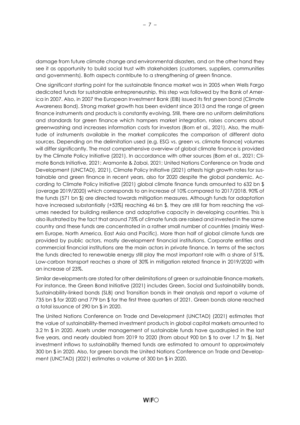damage from future climate change and environmental disasters, and on the other hand they see it as opportunity to build social trust with stakeholders (customers, suppliers, communities and governments). Both aspects contribute to a strengthening of green finance.

One significant starting point for the sustainable finance market was in 2005 when Wells Fargo dedicated funds for sustainable entrepreneurship, this step was followed by the Bank of America in 2007. Also, in 2007 the European Investment Bank (EIB) issued its first green bond (Climate Awareness Bond). Strong market growth has been evident since 2013 and the range of green finance instruments and products is constantly evolving. Still, there are no uniform delimitations and standards for green finance which hampers market integration, raises concerns about greenwashing and increases information costs for investors (Born et al., 2021). Also, the multitude of instruments available in the market complicates the comparison of different data sources. Depending on the delimitation used (e.g. ESG vs. green vs. climate finance) volumes will differ significantly. The most comprehensive overview of global climate finance is provided by the Climate Policy Initiative (2021). In accordance with other sources (Born et al., 2021; Climate Bonds Initiative, 2021; Aramonte & Zabai, 2021; United Nations Conference on Trade and Development (UNCTAD), 2021), Climate Policy Initiative (2021) attests high growth rates for sustainable and green finance in recent years, also for 2020 despite the global pandemic. According to Climate Policy Initiative (2021) global climate finance funds amounted to 632 bn \$ (average 2019/2020) which corresponds to an increase of 10% compared to 2017/2018. 90% of the funds (571 bn \$) are directed towards mitigation measures. Although funds for adaptation have increased substantially (+53%) reaching 46 bn \$, they are still far from reaching the volumes needed for building resilience and adaptative capacity in developing countries. This is also illustrated by the fact that around 75% of climate funds are raised and invested in the same country and these funds are concentrated in a rather small number of countries (mainly Western Europe, North America, East Asia and Pacific). More than half of global climate funds are provided by public actors, mostly development financial institutions. Corporate entities and commercial financial institutions are the main actors in private finance. In terms of the sectors the funds directed to renewable energy still play the most important role with a share of 51%. Low-carbon transport reaches a share of 30% in mitigation related finance in 2019/2020 with an increase of 23%.

Similar developments are stated for other delimitations of green or sustainable finance markets. For instance, the Green Bond Initiative (2021) includes Green, Social and Sustainability bonds, Sustainability-linked bonds (SLB) and Transition bonds in their analysis and report a volume of 735 bn \$ for 2020 and 779 bn \$ for the first three quarters of 2021. Green bonds alone reached a total issuance of 290 bn \$ in 2020.

The United Nations Conference on Trade and Development (UNCTAD) (2021) estimates that the value of sustainability-themed investment products in global capital markets amounted to 3.2 tn \$ in 2020. Assets under management of sustainable funds have quadrupled in the last five years, and nearly doubled from 2019 to 2020 (from about 900 bn \$ to over 1.7 tn \$). Net investment inflows to sustainability themed funds are estimated to amount to approximately 300 bn \$ in 2020. Also, for green bonds the United Nations Conference on Trade and Development (UNCTAD) (2021) estimates a volume of 300 bn \$ in 2020.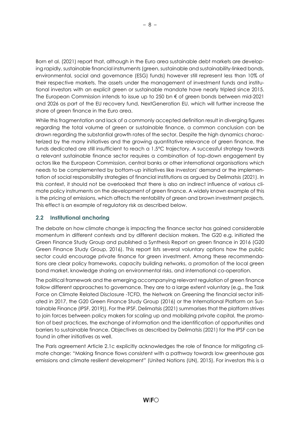Born et al. (2021) report that, although in the Euro area sustainable debt markets are developing rapidly, sustainable financial instruments (green, sustainable and sustainability-linked bonds, environmental, social and governance (ESG) funds) however still represent less than 10% of their respective markets. The assets under the management of investment funds and institutional investors with an explicit green or sustainable mandate have nearly tripled since 2015. The European Commission intends to issue up to 250 bn € of green bonds between mid-2021 and 2026 as part of the EU recovery fund, NextGeneration EU, which will further increase the share of green finance in the Euro area.

While this fragmentation and lack of a commonly accepted definition result in diverging figures regarding the total volume of green or sustainable finance, a common conclusion can be drawn regarding the substantial growth rates of the sector. Despite the high dynamics characterized by the many initiatives and the growing quantitative relevance of green finance, the funds dedicated are still insufficient to reach a 1.5°C trajectory. A successful strategy towards a relevant sustainable finance sector requires a combination of top-down engagement by actors like the European Commission, central banks or other international organisations which needs to be complemented by bottom-up initiatives like investors' demand or the implementation of social responsibility strategies of financial institutions as argued by Delimatsis (2021). In this context, it should not be overlooked that there is also an indirect influence of various climate policy instruments on the development of green finance. A widely known example of this is the pricing of emissions, which affects the rentability of green and brown investment projects. This effect is an example of regulatory risk as described below.

# 2.2 Institutional anchoring

The debate on how climate change is impacting the finance sector has gained considerable momentum in different contexts and by different decision makers. The G20 e.g. initiated the Green Finance Study Group and published a Synthesis Report on green finance in 2016 (G20 Green Finance Study Group, 2016). This report lists several voluntary options how the public sector could encourage private finance for green investment. Among these recommendations are clear policy frameworks, capacity building networks, a promotion of the local green bond market, knowledge sharing on environmental risks, and international co-operation.

The political framework and the emerging accompanying relevant regulation of green finance follow different approaches to governance. They are to a large extent voluntary (e.g., the Task Force on Climate Related Disclosure -TCFD, the Network on Greening the financial sector initiated in 2017, the G20 Green Finance Study Group (2016) or the International Platform on Sustainable Finance (IPSF, 2019)). For the IPSF, Delimatsis (2021) summarises that the platform strives to join forces between policy makers for scaling up and mobilizing private capital, the promotion of best practices, the exchange of information and the identification of opportunities and barriers to sustainable finance. Objectives as described by Delimatsis (2021) for the IPSF can be found in other initiatives as well.

The Paris agreement Article 2.1c explicitly acknowledges the role of finance for mitigating climate change: "Making finance flows consistent with a pathway towards low greenhouse gas emissions and climate resilient development" (United Nations (UN), 2015). For investors this is a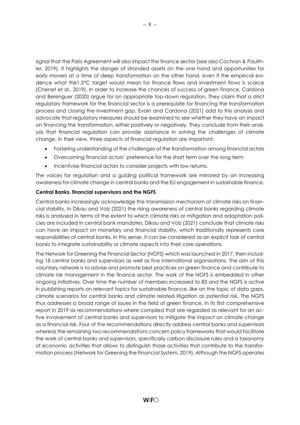signal that the Paris Agreement will also impact the finance sector (see also Cochran & Paulthier, 2019). It highlights the danger of stranded assets on the one hand and opportunities for early movers at a time of deep transformation on the other hand, even if the empirical evidence what the1.5°C target would mean for finance flows and investment flows is scarce (Chenet et al., 2019). In order to increase the chances of success of green finance, Cardona and Berenguer (2020) argue for an appropriate top-down regulation. They claim that a strict regulatory framework for the financial sector is a prerequisite for financing the transformation process and closing the investment gap. Evain and Cardona (2021) add to this analysis and advocate that regulatory measures should be examined to see whether they have an impact on financing the transformation, either positively or negatively. They conclude from their analysis that financial regulation can provide assistance in solving the challenges of climate change. In their view, three aspects of financial regulation are important:

- Fostering understanding of the challenges of the transformation among financial actors
- Overcoming financial actors' preference for the short term over the long term
- Incentivise financial actors to consider projects with low returns.

The voices for regulation and a guiding political framework are mirrored by an increasing awareness for climate change in central banks and the EU engagement in sustainable finance.

#### Central Banks, financial supervisors and the NGFS

Central banks increasingly acknowledge the transmission mechanism of climate risks on financial stability. In Dikau and Volz (2021) the rising awareness of central banks regarding climate risks is analysed in terms of the extent to which climate risks or mitigation and adaptation policies are included in central bank mandates. Dikau and Volz (2021) conclude that climate risks can have an impact on monetary and financial stability, which traditionally represents core responsibilities of central banks. In this sense, it can be considered as an explicit task of central banks to integrate sustainability or climate aspects into their core operations.

The Network for Greening the Financial Sector (NGFS) which was launched in 2017, then including 18 central banks and supervisors as well as five international organisations. The aim of this voluntary network is to advise and promote best practices on green finance and contribute to climate risk management in the finance sector. The work of the NGFS is embedded in other ongoing initiatives. Over time the number of members increased to 83 and the NGFS is active in publishing reports on relevant topics for sustainable finance, like on the topic of data gaps, climate scenarios for central banks and climate related litigation as potential risk. The NGFS thus addresses a broad range of issues in the field of green finance. In its first comprehensive report in 2019 six recommendations where compiled that are regarded as relevant for an active involvement of central banks and supervisors to mitigate the impact on climate change as a financial risk. Four of the recommendations directly address central banks and supervisors whereas the remaining two recommendations concern policy frameworks that would facilitate the work of central banks and supervisors, specifically carbon disclosure rules and a taxonomy of economic activities that allows to distinguish those activities that contribute to the transformation process (Network for Greening the Financial System, 2019). Although the NGFS operates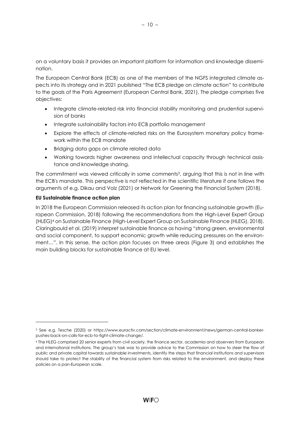on a voluntary basis it provides an important platform for information and knowledge dissemination.

The European Central Bank (ECB) as one of the members of the NGFS integrated climate aspects into its strategy and in 2021 published "The ECB pledge on climate action" to contribute to the goals of the Paris Agreement (European Central Bank, 2021). The pledge comprises five objectives:

- Integrate climate-related risk into financial stability monitoring and prudential supervision of banks
- Integrate sustainability factors into ECB portfolio management
- Explore the effects of climate-related risks on the Eurosystem monetary policy framework within the ECB mandate
- Bridging data gaps on climate related data
- Working towards higher awareness and intellectual capacity through technical assistance and knowledge sharing.

The commitment was viewed critically in some comments<sup>3</sup>, arguing that this is not in line with the ECB's mandate. This perspective is not reflected in the scientific literature if one follows the arguments of e.g. Dikau and Volz (2021) or Network for Greening the Financial System (2018).

#### EU Sustainable finance action plan

In 2018 the European Commission released its action plan for financing sustainable growth (European Commission, 2018) following the recommendations from the High-Level Expert Group (HLEG)4 on Sustainable Finance (High-Level Expert Group on Sustainable Finance (HLEG), 2018). Claringbould et al. (2019) interpret sustainable finance as having "strong green, environmental and social component, to support economic growth while reducing pressures on the environment…". In this sense, the action plan focuses on three areas (Figure 3) and establishes the main building blocks for sustainable finance at EU level.

<sup>3</sup> See e.g. Tesche (2020) or https://www.euractiv.com/section/climate-environment/news/german-central-bankerpushes-back-on-calls-for-ecb-to-fight-climate-change/.

<sup>4</sup> The HLEG comprised 20 senior experts from civil society, the finance sector, academia and observers from European and international institutions. The group's task was to provide advice to the Commission on how to steer the flow of public and private capital towards sustainable investments, identify the steps that financial institutions and supervisors should take to protect the stability of the financial system from risks related to the environment, and deploy these policies on a pan-European scale.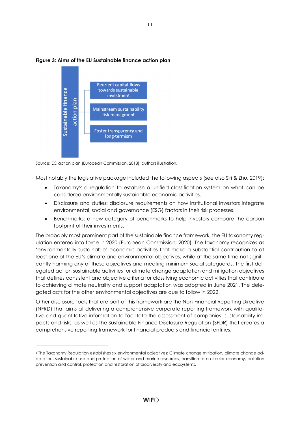

#### Figure 3: Aims of the EU Sustainable finance action plan

Source: EC action plan (European Commission, 2018), authors illustration.

Most notably the legislative package included the following aspects (see also Siri & Zhu, 2019):

– 11 –

- Taxonomy<sup>5</sup>: a regulation to establish a unified classification system on what can be considered environmentally sustainable economic activities.
- Disclosure and duties: disclosure requirements on how institutional investors integrate environmental, social and governance (ESG) factors in their risk processes.
- Benchmarks: a new category of benchmarks to help investors compare the carbon footprint of their investments.

The probably most prominent part of the sustainable finance framework, the EU taxonomy regulation entered into force in 2020 (European Commission, 2020). The taxonomy recognizes as 'environmentally sustainable' economic activities that make a substantial contribution to at least one of the EU's climate and environmental objectives, while at the same time not significantly harming any of these objectives and meeting minimum social safeguards. The first delegated act on sustainable activities for climate change adaptation and mitigation objectives that defines consistent and objective criteria for classifying economic activities that contribute to achieving climate neutrality and support adaptation was adopted in June 2021. The delegated acts for the other environmental objectives are due to follow in 2022.

Other disclosure tools that are part of this framework are the Non-Financial Reporting Directive (NFRD) that aims at delivering a comprehensive corporate reporting framework with qualitative and quantitative information to facilitate the assessment of companies' sustainability impacts and risks; as well as the Sustainable Finance Disclosure Regulation (SFDR) that creates a comprehensive reporting framework for financial products and financial entities.

<sup>5</sup> The Taxonomy Regulation establishes six environmental objectives: Climate change mitigation, climate change adaptation, sustainable use and protection of water and marine resources, transition to a circular economy, pollution prevention and control, protection and restoration of biodiversity and ecosystems.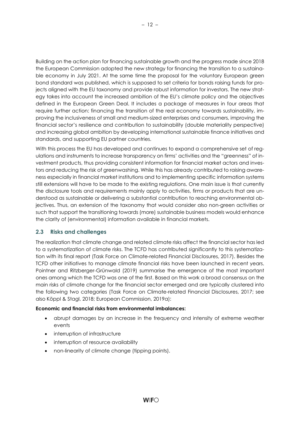Building on the action plan for financing sustainable growth and the progress made since 2018 the European Commission adopted the new strategy for financing the transition to a sustainable economy in July 2021. At the same time the proposal for the voluntary European green bond standard was published, which is supposed to set criteria for bonds raising funds for projects aligned with the EU taxonomy and provide robust information for investors. The new strategy takes into account the increased ambition of the EU's climate policy and the objectives defined in the European Green Deal. It includes a package of measures in four areas that require further action: financing the transition of the real economy towards sustainability, improving the inclusiveness of small and medium-sized enterprises and consumers, improving the financial sector's resilience and contribution to sustainability (double materiality perspective) and increasing global ambition by developing international sustainable finance initiatives and standards, and supporting EU partner countries.

With this process the EU has developed and continues to expand a comprehensive set of regulations and instruments to increase transparency on firms' activities and the "greenness" of investment products, thus providing consistent information for financial market actors and investors and reducing the risk of greenwashing. While this has already contributed to raising awareness especially in financial market institutions and to implementing specific information systems still extensions will have to be made to the existing regulations. One main issue is that currently the disclosure tools and requirements mainly apply to activities, firms or products that are understood as sustainable or delivering a substantial contribution to reaching environmental objectives. Thus, an extension of the taxonomy that would consider also non-green activities or such that support the transitioning towards (more) sustainable business models would enhance the clarity of (environmental) information available in financial markets.

# 2.3 Risks and challenges

The realization that climate change and related climate risks affect the financial sector has led to a systematization of climate risks. The TCFD has contributed significantly to this systematization with its final report (Task Force on Climate-related Financial Disclosures, 2017). Besides the TCFD other initiatives to manage climate financial risks have been launched in recent years. Pointner and Ritzberger-Grünwald (2019) summarise the emergence of the most important ones among which the TCFD was one of the first. Based on this work a broad consensus on the main risks of climate change for the financial sector emerged and are typically clustered into the following two categories (Task Force on Climate-related Financial Disclosures, 2017; see also Köppl & Stagl, 2018; European Commission, 2019a):

#### Economic and financial risks from environmental imbalances:

- abrupt damages by an increase in the frequency and intensity of extreme weather events
- interruption of infrastructure
- interruption of resource availability
- non-linearity of climate change (tipping points).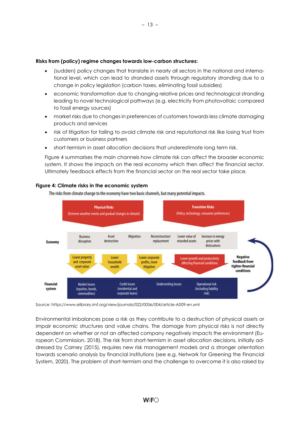#### Risks from (policy) regime changes towards low-carbon structures:

- (sudden) policy changes that translate in nearly all sectors in the national and international level, which can lead to stranded assets through regulatory stranding due to a change in policy legislation (carbon taxes, eliminating fossil subsidies)
- economic transformation due to changing relative prices and technological stranding leading to novel technological pathways (e.g. electricity from photovoltaic compared to fossil energy sources)
- market risks due to changes in preferences of customers towards less climate damaging products and services
- risk of litigation for failing to avoid climate risk and reputational risk like losing trust from customers or business partners
- short-termism in asset allocation decisions that underestimate long term risk.

Figure 4 summarises the main channels how climate risk can affect the broader economic system. It shows the impacts on the real economy which then affect the financial sector. Ultimately feedback effects from the financial sector on the real sector take place.



#### Figure 4: Climate risks in the economic system

The risks from climate change to the economy have two basic channels, but many potential impacts.

Source: https://www.elibrary.imf.org/view/journals/022/0056/004/article-A009-en.xml

Environmental imbalances pose a risk as they contribute to a destruction of physical assets or impair economic structures and value chains. The damage from physical risks is not directly dependent on whether or not an affected company negatively impacts the environment (European Commission, 2018). The risk from short-termism in asset allocation decisions, initially addressed by Carney (2015), requires new risk management models and a stronger orientation towards scenario analysis by financial institutions (see e.g. Network for Greening the Financial System, 2020). The problem of short-termism and the challenge to overcome it is also raised by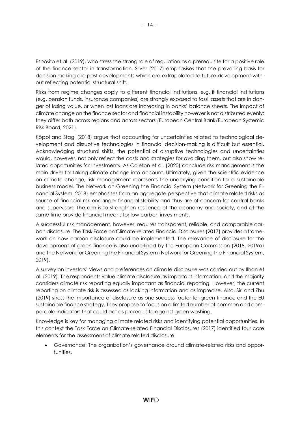Esposito et al. (2019), who stress the strong role of regulation as a prerequisite for a positive role of the finance sector in transformation. Silver (2017) emphasises that the prevailing basis for decision making are past developments which are extrapolated to future development without reflecting potential structural shift.

Risks from regime changes apply to different financial institutions, e.g. if financial institutions (e.g. pension funds, insurance companies) are strongly exposed to fossil assets that are in danger of losing value, or when lost loans are increasing in banks' balance sheets. The impact of climate change on the finance sector and financial instability however is not distributed evenly: they differ both across regions and across sectors (European Central Bank/European Systemic Risk Board, 2021).

Köppl and Stagl (2018) argue that accounting for uncertainties related to technological development and disruptive technologies in financial decision-making is difficult but essential. Acknowledging structural shifts, the potential of disruptive technologies and uncertainties would, however, not only reflect the costs and strategies for avoiding them, but also show related opportunities for investments. As Coleton et al. (2020) conclude risk management is the main driver for taking climate change into account. Ultimately, given the scientific evidence on climate change, risk management represents the underlying condition for a sustainable business model. The Network on Greening the Financial System (Network for Greening the Financial System, 2018) emphasises from an aggregate perspective that climate related risks as source of financial risk endanger financial stability and thus are of concern for central banks and supervisors. The aim is to strengthen resilience of the economy and society, and at the same time provide financial means for low carbon investments.

A successful risk management, however, requires transparent, reliable, and comparable carbon disclosure. The Task Force on Climate-related Financial Disclosures (2017) provides a framework on how carbon disclosure could be implemented. The relevance of disclosure for the development of green finance is also underlined by the European Commission (2018, 2019a) and the Network for Greening the Financial System (Network for Greening the Financial System, 2019).

A survey on investors' views and preferences on climate disclosure was carried out by Ilhan et al. (2019). The respondents value climate disclosure as important information, and the majority considers climate risk reporting equally important as financial reporting. However, the current reporting on climate risk is assessed as lacking information and as imprecise. Also, Siri and Zhu (2019) stress the importance of disclosure as one success factor for green finance and the EU sustainable finance strategy. They propose to focus on a limited number of common and comparable indicators that could act as prerequisite against green washing.

Knowledge is key for managing climate related risks and identifying potential opportunities. In this context the Task Force on Climate-related Financial Disclosures (2017) identified four core elements for the assessment of climate related disclosure:

 Governance: The organization's governance around climate-related risks and opportunities.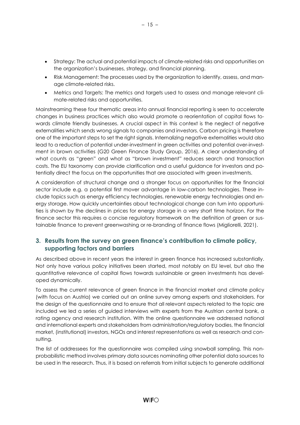- Strategy: The actual and potential impacts of climate-related risks and opportunities on the organization's businesses, strategy, and financial planning.
- Risk Management: The processes used by the organization to identify, assess, and manage climate-related risks.
- Metrics and Targets: The metrics and targets used to assess and manage relevant climate-related risks and opportunities.

Mainstreaming these four thematic areas into annual financial reporting is seen to accelerate changes in business practices which also would promote a reorientation of capital flows towards climate friendly businesses. A crucial aspect in this context is the neglect of negative externalities which sends wrong signals to companies and investors. Carbon pricing is therefore one of the important steps to set the right signals. Internalizing negative externalities would also lead to a reduction of potential under-investment in green activities and potential over-investment in brown activities (G20 Green Finance Study Group, 2016). A clear understanding of what counts as "green" and what as "brown investment" reduces search and transaction costs. The EU taxonomy can provide clarification and a useful guidance for investors and potentially direct the focus on the opportunities that are associated with green investments.

A consideration of structural change and a stronger focus on opportunities for the financial sector include e.g. a potential first mover advantage in low-carbon technologies. These include topics such as energy efficiency technologies, renewable energy technologies and energy storage. How quickly uncertainties about technological change can turn into opportunities is shown by the declines in prices for energy storage in a very short time horizon. For the finance sector this requires a concise regulatory framework on the definition of green or sustainable finance to prevent greenwashing or re-branding of finance flows (Migliorelli, 2021).

# 3. Results from the survey on green finance's contribution to climate policy, supporting factors and barriers

As described above in recent years the interest in green finance has increased substantially. Not only have various policy initiatives been started, most notably on EU level, but also the quantitative relevance of capital flows towards sustainable or green investments has developed dynamically.

To assess the current relevance of green finance in the financial market and climate policy (with focus on Austria) we carried out an online survey among experts and stakeholders. For the design of the questionnaire and to ensure that all relevant aspects related to the topic are included we led a series of guided interviews with experts from the Austrian central bank, a rating agency and research institution. With the online questionnaire we addressed national and international experts and stakeholders from administration/regulatory bodies, the financial market, (institutional) investors, NGOs and interest representations as well as research and consulting.

The list of addressees for the questionnaire was compiled using snowball sampling. This nonprobabilistic method involves primary data sources nominating other potential data sources to be used in the research. Thus, it is based on referrals from initial subjects to generate additional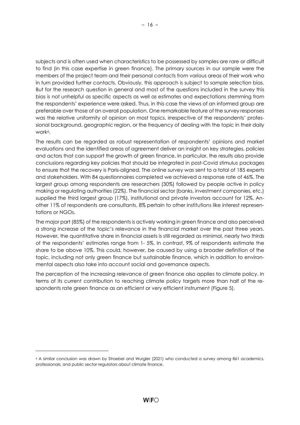subjects and is often used when characteristics to be possessed by samples are rare or difficult to find (in this case expertise in green finance). The primary sources in our sample were the members of the project team and their personal contacts from various areas of their work who in turn provided further contacts. Obviously, this approach is subject to sample selection bias. But for the research question in general and most of the questions included in the survey this bias is not unhelpful as specific aspects as well as estimates and expectations stemming from the respondents' experience were asked. Thus, in this case the views of an informed group are preferable over those of an overall population. One remarkable feature of the survey responses was the relative uniformity of opinion on most topics, irrespective of the respondents' professional background, geographic region, or the frequency of dealing with the topic in their daily work<sup>6</sup>.

The results can be regarded as robust representation of respondents' opinions and market evaluations and the identified areas of agreement deliver an insight on key strategies, policies and actors that can support the growth of green finance. In particular, the results also provide conclusions regarding key policies that should be integrated in post-Covid stimulus packages to ensure that the recovery is Paris-aligned. The online survey was sent to a total of 185 experts and stakeholders. With 84 questionnaires completed we achieved a response rate of 46%. The largest group among respondents are researchers (30%) followed by people active in policy making or regulating authorities (22%). The financial sector (banks, investment companies, etc.) supplied the third largest group (17%), institutional and private investors account for 12%. Another 11% of respondents are consultants, 8% pertain to other institutions like interest representations or NGOs.

The major part (85%) of the respondents is actively working in green finance and also perceived a strong increase of the topic's relevance in the financial market over the past three years. However, the quantitative share in financial assets is still regarded as minimal, nearly two thirds of the respondents' estimates range from 1- 5%. In contrast, 9% of respondents estimate the share to be above 10%. This could, however, be caused by using a broader definition of the topic, including not only green finance but sustainable finance, which in addition to environmental aspects also take into account social and governance aspects.

The perception of the increasing relevance of green finance also applies to climate policy. In terms of its current contribution to reaching climate policy targets more than half of the respondents rate green finance as an efficient or very efficient instrument (Figure 5).

<sup>6</sup> A similar conclusion was drawn by Stroebel and Wurgler (2021) who conducted a survey among 861 academics, professionals, and public sector regulators about climate finance.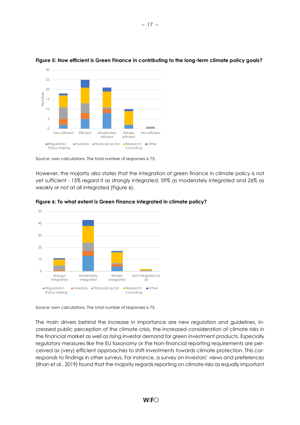

### Figure 5: How efficient is Green Finance in contributing to the long-term climate policy goals?

Source: own calculations. The total number of responses is 73.

However, the majority also states that the integration of green finance in climate policy is not yet sufficient - 15% regard it as strongly integrated, 59% as moderately integrated and 26% as weakly or not at all integrated (Figure 6).





Source: own calculations. The total number of responses is 75.

The main drivers behind the increase in importance are new regulation and guidelines, increased public perception of the climate crisis, the increased consideration of climate risks in the financial market as well as rising investor demand for green investment products. Especially regulatory measures like the EU taxonomy or the Non-financial reporting requirements are perceived as (very) efficient approaches to shift investments towards climate protection. This corresponds to findings in other surveys. For instance, a survey on investors' views and preferences (Ilhan et al., 2019) found that the majority regards reporting on climate risks as equally important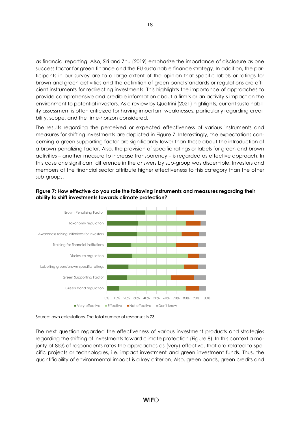as financial reporting. Also, Siri and Zhu (2019) emphasize the importance of disclosure as one success factor for green finance and the EU sustainable finance strategy. In addition, the participants in our survey are to a large extent of the opinion that specific labels or ratings for brown and green activities and the definition of green bond standards or regulations are efficient instruments for redirecting investments. This highlights the importance of approaches to provide comprehensive and credible information about a firm's or an activity's impact on the environment to potential investors. As a review by Quatrini (2021) highlights, current sustainability assessment is often criticized for having important weaknesses, particularly regarding credibility, scope, and the time-horizon considered.

The results regarding the perceived or expected effectiveness of various instruments and measures for shifting investments are depicted in Figure 7. Interestingly, the expectations concerning a green supporting factor are significantly lower than those about the introduction of a brown penalizing factor. Also, the provision of specific ratings or labels for green and brown activities – another measure to increase transparency – is regarded as effective approach. In this case one significant difference in the answers by sub-group was discernible. Investors and members of the financial sector attribute higher effectiveness to this category than the other sub-groups.



Figure 7: How effective do you rate the following instruments and measures regarding their ability to shift investments towards climate protection?

Source: own calculations. The total number of responses is 73.

The next question regarded the effectiveness of various investment products and strategies regarding the shifting of investments toward climate protection (Figure 8). In this context a majority of 85% of respondents rates the approaches as (very) effective, that are related to specific projects or technologies, i.e. impact investment and green investment funds. Thus, the quantifiability of environmental impact is a key criterion. Also, green bonds, green credits and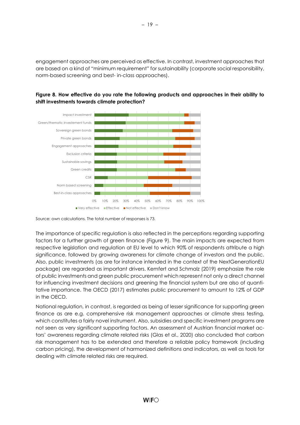engagement approaches are perceived as effective. In contrast, investment approaches that are based on a kind of "minimum requirement" for sustainability (corporate social responsibility, norm-based screening and best- in-class approaches).





The importance of specific regulation is also reflected in the perceptions regarding supporting factors for a further growth of green finance (Figure 9). The main impacts are expected from respective legislation and regulation at EU level to which 90% of respondents attribute a high significance, followed by growing awareness for climate change of investors and the public. Also, public investments (as are for instance intended in the context of the NextGenerationEU package) are regarded as important drivers. Kemfert and Schmalz (2019) emphasize the role of public investments and green public procurement which represent not only a direct channel for influencing investment decisions and greening the financial system but are also of quantitative importance. The OECD (2017) estimates public procurement to amount to 12% of GDP in the OECD.

National regulation, in contrast, is regarded as being of lesser significance for supporting green finance as are e.g. comprehensive risk management approaches or climate stress testing, which constitutes a fairly novel instrument. Also, subsidies and specific investment programs are not seen as very significant supporting factors. An assessment of Austrian financial market actors' awareness regarding climate related risks (Glas et al., 2020) also concluded that carbon risk management has to be extended and therefore a reliable policy framework (including carbon pricing), the development of harmonized definitions and indicators, as well as tools for dealing with climate related risks are required.

Source: own calculations. The total number of responses is 73.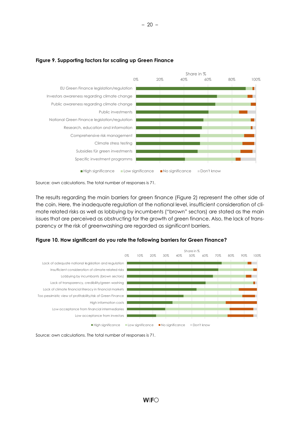

#### Figure 9. Supporting factors for scaling up Green Finance

Source: own calculations. The total number of responses is 71.

The results regarding the main barriers for green finance (Figure 2) represent the other side of the coin. Here, the inadequate regulation at the national level, insufficient consideration of climate related risks as well as lobbying by incumbents ("brown" sectors) are stated as the main issues that are perceived as obstructing for the growth of green finance. Also, the lack of transparency or the risk of greenwashing are regarded as significant barriers.





Source: own calculations. The total number of responses is 71.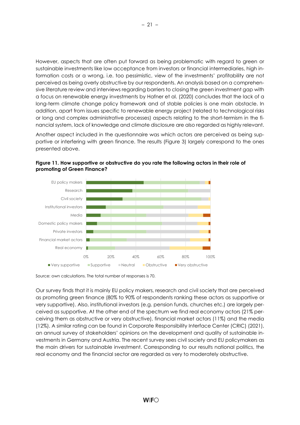However, aspects that are often put forward as being problematic with regard to green or sustainable investments like low acceptance from investors or financial intermediaries, high information costs or a wrong, i.e. too pessimistic, view of the investments' profitability are not perceived as being overly obstructive by our respondents. An analysis based on a comprehensive literature review and interviews regarding barriers to closing the green investment gap with a focus on renewable energy investments by Hafner et al. (2020) concludes that the lack of a long-term climate change policy framework and of stable policies is one main obstacle. In addition, apart from issues specific to renewable energy project (related to technological risks or long and complex administrative processes) aspects relating to the short-termism in the financial system, lack of knowledge and climate disclosure are also regarded as highly relevant.

Another aspect included in the questionnaire was which actors are perceived as being supportive or interfering with green finance. The results (Figure 3) largely correspond to the ones presented above.



Figure 11. How supportive or obstructive do you rate the following actors in their role of promoting of Green Finance?

Our survey finds that it is mainly EU policy makers, research and civil society that are perceived as promoting green finance (80% to 90% of respondents ranking these actors as supportive or very supportive). Also, institutional investors (e.g. pension funds, churches etc.) are largely perceived as supportive. At the other end of the spectrum we find real economy actors (21% perceiving them as obstructive or very obstructive), financial market actors (11%) and the media (12%). A similar rating can be found in Corporate Responsibility Interface Center (CRIC) (2021), an annual survey of stakeholders' opinions on the development and quality of sustainable investments in Germany and Austria. The recent survey sees civil society and EU policymakers as the main drivers for sustainable investment. Corresponding to our results national politics, the real economy and the financial sector are regarded as very to moderately obstructive.

Source: own calculations. The total number of responses is 70.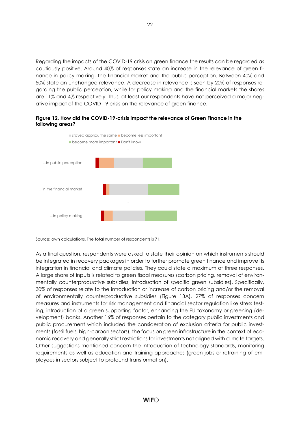Regarding the impacts of the COVID-19 crisis on green finance the results can be regarded as cautiously positive. Around 40% of responses state an increase in the relevance of green finance in policy making, the financial market and the public perception. Between 40% and 50% state an unchanged relevance. A decrease in relevance is seen by 20% of responses regarding the public perception, while for policy making and the financial markets the shares are 11% and 4% respectively. Thus, at least our respondents have not perceived a major negative impact of the COVID-19 crisis on the relevance of green finance.

#### Figure 12. How did the COVID-19-crisis impact the relevance of Green Finance in the following areas?



Source: own calculations. The total number of respondents is 71.

As a final question, respondents were asked to state their opinion on which instruments should be integrated in recovery packages in order to further promote green finance and improve its integration in financial and climate policies. They could state a maximum of three responses. A large share of inputs is related to green fiscal measures (carbon pricing, removal of environmentally counterproductive subsidies, introduction of specific green subsidies). Specifically, 30% of responses relate to the introduction or increase of carbon pricing and/or the removal of environmentally counterproductive subsidies (Figure 13A). 27% of responses concern measures and instruments for risk management and financial sector regulation like stress testing, introduction of a green supporting factor, enhancing the EU taxonomy or greening (development) banks. Another 16% of responses pertain to the category public investments and public procurement which included the consideration of exclusion criteria for public investments (fossil fuels, high-carbon sectors), the focus on green infrastructure in the context of economic recovery and generally strict restrictions for investments not aligned with climate targets. Other suggestions mentioned concern the introduction of technology standards, monitoring requirements as well as education and training approaches (green jobs or retraining of employees in sectors subject to profound transformation).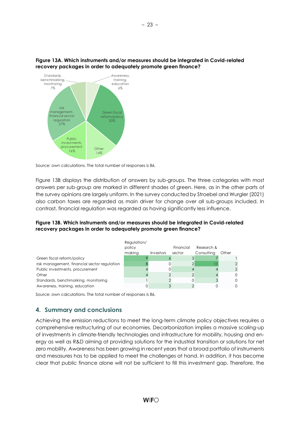



| Figure 13B. Which instruments and/or measures should be integrated in Covid-related |
|-------------------------------------------------------------------------------------|
| recovery packages in order to adequately promote green finance?                     |

| regulation<br>30%<br>27%<br>Public<br>investments.<br>procurement<br>Other<br>16%                                                                                                                                                                                                                                                                                                                                                                                                                                                                                                                                                               |                  |           |                     |                          |          |                            |  |
|-------------------------------------------------------------------------------------------------------------------------------------------------------------------------------------------------------------------------------------------------------------------------------------------------------------------------------------------------------------------------------------------------------------------------------------------------------------------------------------------------------------------------------------------------------------------------------------------------------------------------------------------------|------------------|-----------|---------------------|--------------------------|----------|----------------------------|--|
| 14%                                                                                                                                                                                                                                                                                                                                                                                                                                                                                                                                                                                                                                             |                  |           |                     |                          |          |                            |  |
| Source: own calculations. The total number of responses is 86.                                                                                                                                                                                                                                                                                                                                                                                                                                                                                                                                                                                  |                  |           |                     |                          |          |                            |  |
| Figure 13B displays the distribution of answers by sub-groups. The three categories with most<br>answers per sub-group are marked in different shades of green. Here, as in the other parts of<br>the survey opinions are largely uniform. In the survey conducted by Stroebel and Wurgler (2021)<br>also carbon taxes are regarded as main driver for change over all sub-groups included. In<br>contrast, financial regulation was regarded as having significantly less influence.<br>Figure 13B. Which instruments and/or measures should be integrated in Covid-related<br>recovery packages in order to adequately promote green finance? |                  |           |                     |                          |          |                            |  |
|                                                                                                                                                                                                                                                                                                                                                                                                                                                                                                                                                                                                                                                 | Regulation/      |           |                     |                          |          |                            |  |
|                                                                                                                                                                                                                                                                                                                                                                                                                                                                                                                                                                                                                                                 | policy<br>making | Investors | Financial<br>sector | Research &<br>Consulting | Other    |                            |  |
| Green fiscal reform/policy                                                                                                                                                                                                                                                                                                                                                                                                                                                                                                                                                                                                                      | $\circ$          |           | 6                   | 3                        |          |                            |  |
| risk management, financial sector regulation                                                                                                                                                                                                                                                                                                                                                                                                                                                                                                                                                                                                    |                  |           | $\mathbf 0$         | $\left 2\right $         |          | $\mathbf{2}$               |  |
| Public investments, procurement                                                                                                                                                                                                                                                                                                                                                                                                                                                                                                                                                                                                                 |                  |           | 0                   | $\overline{4}$           |          | $\overline{2}$             |  |
| Other                                                                                                                                                                                                                                                                                                                                                                                                                                                                                                                                                                                                                                           |                  |           | $\overline{2}$      | $\overline{2}$           |          | $\mathbf{0}$               |  |
| Standards, benchmarking, monitoring<br>Awareness, training, education                                                                                                                                                                                                                                                                                                                                                                                                                                                                                                                                                                           | $\Omega$         |           | $\overline{2}$<br>3 | 0<br>$\overline{2}$      | $\Omega$ | $\mathbf 0$<br>$\mathbf 0$ |  |
| Source: own calculations. The total number of responses is 86.                                                                                                                                                                                                                                                                                                                                                                                                                                                                                                                                                                                  |                  |           |                     |                          |          |                            |  |
| 4. Summary and conclusions                                                                                                                                                                                                                                                                                                                                                                                                                                                                                                                                                                                                                      |                  |           |                     |                          |          |                            |  |

# 4. Summary and conclusions

Achieving the emission reductions to meet the long-term climate policy objectives requires a comprehensive restructuring of our economies. Decarbonization implies a massive scaling-up of investments in climate-friendly technologies and infrastructure for mobility, housing and energy as well as R&D aiming at providing solutions for the industrial transition or solutions for net zero mobility. Awareness has been growing in recent years that a broad portfolio of instruments and mesasures has to be applied to meet the challenges at hand. In addition, it has become clear that public finance alone will not be sufficient to fill this investment gap. Therefore, the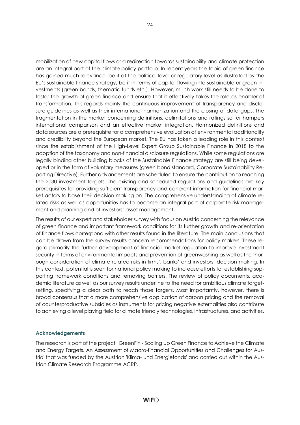mobilization of new capital flows or a redirection towards sustainability and climate protection are an integral part of the climate policy portfolio. In recent years the topic of green finance has gained much relevance, be it at the political level or regulatory level as illustrated by the EU's sustainable finance strategy, be it in terms of capital flowing into sustainable or green investments (green bonds, thematic funds etc.). However, much work still needs to be done to foster the growth of green finance and ensure that it effectively takes the role as enabler of transformation. This regards mainly the continuous improvement of transparency and disclosure guidelines as well as their international harmonization and the closing of data gaps. The fragmentation in the market concerning definitions, delimitations and ratings so far hampers international comparison and an effective market integration. Harmonized definitions and data sources are a prerequisite for a comprehensive evaluation of environmental additionality and credibility beyond the European market. The EU has taken a leading role in this context since the establishment of the High-Level Expert Group Sustainable Finance in 2018 to the adoption of the taxonomy and non-financial disclosure regulations. While some regulations are legally binding other building blocks of the Sustainable Finance strategy are still being developed or in the form of voluntary measures (green bond standard, Corporate Sustainability Reporting Directive). Further advancements are scheduled to ensure the contribution to reaching the 2030 investment targets. The existing and scheduled regulations and guidelines are key prerequisites for providing sufficient transparency and coherent information for financial market actors to base their decision making on. The comprehensive understanding of climate related risks as well as opportunities has to become an integral part of corporate risk management and planning and of investors' asset management.

The results of our expert and stakeholder survey with focus on Austria concerning the relevance of green finance and important framework conditions for its further growth and re-orientation of finance flows correspond with other results found in the literature. The main conclusions that can be drawn from the survey results concern recommendations for policy makers. These regard primarily the further development of financial market regulation to improve investment security in terms of environmental impacts and prevention of greenwashing as well as the thorough consideration of climate related risks in firms', banks' and investors' decision making. In this context, potential is seen for national policy making to increase efforts for establishing supporting framework conditions and removing barriers. The review of policy documents, academic literature as well as our survey results underline to the need for ambitious climate targetsetting, specifying a clear path to reach those targets. Most importantly, however, there is broad consensus that a more comprehensive application of carbon pricing and the removal of counterproductive subsidies as instruments for pricing negative externalities also contribute to achieving a level playing field for climate friendly technologies, infrastructures, and activities.

# Acknowledgements

The research is part of the project ' GreenFin - Scaling Up Green Finance to Achieve the Climate and Energy Targets. An Assessment of Macro-financial Opportunities and Challenges for Austria' that was funded by the Austrian 'Klima- und Energiefonds' and carried out within the Austrian Climate Research Programme ACRP.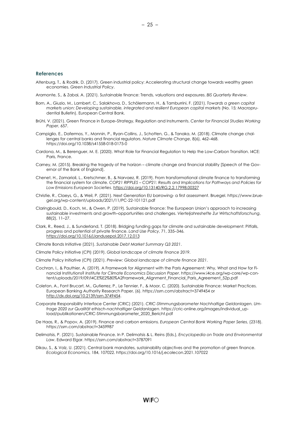- Altenburg, T., & Rodrik, D. (2017). Green industrial policy: Accelerating structural change towards wealthy green economies. Green Industrial Policy.
- Aramonte, S., & Zabai, A. (2021). Sustainable finance: Trends, valuations and exposures. BIS Quarterly Review.
- Born, A., Giuzio, M., Lambert, C., Salakhova, D., Schölermann, H., & Tamburrini, F. (2021). Towards a green capital markets union: Developing sustainable, integrated and resilient European capital markets (No. 15; Macroprudential Bulletin). European Central Bank.
- Brühl, V. (2021). Green Finance in Europe–Strategy, Regulation and Instruments. Center for Financial Studies Working Paper, 657.
- Campiglio, E., Dafermos, Y., Monnin, P., Ryan-Collins, J., Schotten, G., & Tanaka, M. (2018). Climate change challenges for central banks and financial regulators. Nature Climate Change, 8(6), 462–468. https://doi.org/10.1038/s41558-018-0175-0
- Cardona, M., & Berenguer, M. E. (2020). What Role for Financial Regulation to Help the Low-Carbon Transition. I4CE: Paris, France.
- Carney, M. (2015). Breaking the tragedy of the horizon climate change and financial stability [Speech of the Governor of the Bank of England].
- Chenet, H., Zamarioli, L., Kretschmer, B., & Narvaez, R. (2019). From transformational climate finance to transforming the financial system for climate. COP21 RIPPLES – COP21: Results and Implications for Pathways and Policies for Low Emissions European Societies. https://doi.org/10.13140/RG.2.2.17998.00327
- Christie, R., Claeys, G., & Weil, P. (2021). Next Generation EU borrowing- a first assessment. Bruegel. https://www.bruegel.org/wp-content/uploads/2021/11/PC-22-101121.pdf
- Claringbould, D., Koch, M., & Owen, P. (2019). Sustainable finance: The European Union's approach to increasing sustainable investments and growth–opportunities and challenges. Vierteljahreshefte Zur Wirtschaftsforschung, 88(2), 11–27.
- Clark, R., Reed, J., & Sunderland, T. (2018). Bridging funding gaps for climate and sustainable development: Pitfalls, progress and potential of private finance. Land Use Policy, 71, 335–346. https://doi.org/10.1016/j.landusepol.2017.12.013
- Climate Bonds Initiative (2021). Sustainable Debt Market Summary Q3 2021.
- Climate Policy Initiative (CPI) (2019). Global landscape of climate finance 2019.
- Climate Policy Initiative (CPI) (2021). Preview: Global landscape of climate finance 2021.
- Cochran, I., & Pauthier, A. (2019). A Framework for Alignment with the Paris Agreement: Why, What and How for Financial Institutions? Institute for Climate Economics Discussion Paper. https://www.i4ce.org/wp-core/wp-content/uploads/2019/09/I4CE%E2%80%A2Framework\_Alignment\_Financial\_Paris\_Agreement\_52p.pdf
- Coleton, A., Font Brucart, M., Gutierrez, P., Le Tennier, F., & Moor, C. (2020). Sustainable Finance: Market Practices. European Banking Authority Research Paper, (6). https://ssrn.com/abstract=3749454 or http://dx.doi.org/10.2139/ssrn.3749454.
- Corporate Responsibility Interface Center (CRIC) (2021). CRIC-Stimmungsbarometer Nachhaltige Geldanlagen. Umfrage 2020 zur Qualität ethisch-nachhaltiger Geldanlagen. https://cric-online.org/images/individual\_upload/publikationen/CRIC-Stimmungsbarometer\_2020\_Bericht.pdf
- De Haas, R., & Popov, A. (2019). Finance and carbon emissions. European Central Bank Working Paper Series, (2318). https://ssrn.com/abstract=3459987
- Delimatsis, P. (2021). Sustainable Finance. In P. Delimatsis & L. Reins (Eds.), Encyclopedia on Trade and Environmental Law. Edward Elgar. https://ssrn.com/abstract=3787091
- Dikau, S., & Volz, U. (2021). Central bank mandates, sustainability objectives and the promotion of green finance. Ecological Economics, 184, 107022. https://doi.org/10.1016/j.ecolecon.2021.107022

– 25 –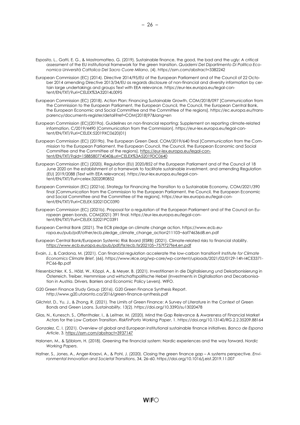- Esposito, L., Gatti, E. G., & Mastromatteo, G. (2019). Sustainable finance, the good, the bad and the ugly: A critical assessment of the EU institutional framework for the green transition. Quaderni Del Dipartimento Di Politica Economica Università Cattolica Del Sacro Cuore Milano, (4). https://ssrn.com/abstract=3382242
- European Commission (EC) (2014). Directive 2014/95/EU of the European Parliament and of the Council of 22 October 2014 amending Directive 2013/34/EU as regards disclosure of non-financial and diversity information by certain large undertakings and groups Text with EEA relevance. https://eur-lex.europa.eu/legal-content/EN/TXT/?uri=CELEX%3A32014L0095
- European Commission (EC) (2018). Action Plan: Financing Sustainable Growth, COM/2018/097 [Communication from the Commission to the European Parliament, the European Council, the Council, the European Central Bank, the European Economic and Social Committee and the Committee of the regions]. https://ec.europa.eu/transparency/documents-register/detail?ref=COM(2018)97&lang=en
- European Commission (EC)(2019a). Guidelines on non-financial reporting: Supplement on reporting climate-related information, C/2019/4490 [Communication from the Commission]. https://eur-lex.europa.eu/legal-content/EN/TXT/?uri=CELEX:52019XC0620(01)
- European Commission (EC) (2019b). The European Green Deal, COM/2019/640 final [Communication from the Commission to the European Parliament, the European Council, the Council, the European Economic and Social Committee and the Committee of the regions]. https://eur-lex.europa.eu/legal-content/EN/TXT/?qid=1588580774040&uri=CELEX%3A52019DC0640
- European Commission (EC) (2020). Regulation (EU) 2020/852 of the European Parliament and of the Council of 18 June 2020 on the establishment of a framework to facilitate sustainable investment, and amending Regulation (EU) 2019/2088 (Text with EEA relevance). https://eur-lex.europa.eu/legal-content/EN/TXT/?uri=celex:32020R0852
- European Commission (EC) (2021a). Strategy for Financing the Transition to a Sustainable Economy, COM/2021/390 final [Communication from the Commission to the European Parliament, the Council, the European Economic and Social Committee and the Committee of the regions]. https://eur-lex.europa.eu/legal-content/EN/TXT/?uri=CELEX:52021DC0390
- European Commission (EC) (2021b). Proposal for a regulation of the European Parliament and of the Council on European green bonds, COM(2021) 391 final. https://eur-lex.europa.eu/legal-content/EN/TXT/?uri=CELEX:52021PC0391
- European Central Bank (2021). The ECB pledge on climate change action. https://www.ecb.europa.eu/pub/pdf/other/ecb.pledge\_climate\_change\_action211103~6af74636d8.en.pdf
- European Central Bank/European Systemic Risk Board (ESRB) (2021). Climate-related risks to financial stability. https://www.ecb.europa.eu/pub/pdf/fsr/ecb.fsr202105~757f727fe4.en.pdf
- Evain, J., & Cardona, M. (2021). Can financial regulation accelerate the low-carbon transition? Institute for Climate Economics Climate Brief, (66). https://www.i4ce.org/wp-core/wp-content/uploads/2021/02/0129-14h-I4CE3371- PC66-8p.pdf
- Friesenbichler, K. S., Hölzl, W., Köppl, A., & Meyer, B. (2021). Investitionen in die Digitalisierung und Dekarbonisierung in Österreich. Treiber, Hemmnisse und wirtschaftspolitische Hebel (Investments in Digitalisation and Decarbonisation in Austria. Drivers, Barriers and Economic Policy Levers). WIFO.
- G20 Green Finance Study Group (2016). G20 Green Finance Synthesis Report. http://www.g20.utoronto.ca/2016/green-finance-synthesis.pdf
- Gilchrist, D., Yu, J., & Zhong, R. (2021). The Limits of Green Finance: A Survey of Literature in the Context of Green Bonds and Green Loans. Sustainability, 13(2). https://doi.org/10.3390/su13020478
- Glas, N., Kunesch, S., Offenthaler, I., & Leitner, M. (2020). Mind the Gap Relevance & Awareness of Financial Market Actors for the Low Carbon Transition. RiskFinPorto Working Paper, 1. https://doi.org/10.13140/RG.2.2.35209.88164
- Gonzalez, C. I. (2021). Overview of global and European institutional sustainable finance initiatives. Banco de Espana Article, 3. https://ssrn.com/abstract=3937147
- Halonen, M., & Sjöblom, H. (2018). Greening the financial system: Nordic experiences and the way forward. Nordic Working Papers.
- Hafner, S., Jones, A., Anger-Kraavi, A., & Pohl, J. (2020). Closing the green finance gap A systems perspective. Environmental Innovation and Societal Transitions, 34, 26–60. https://doi.org/10.1016/j.eist.2019.11.007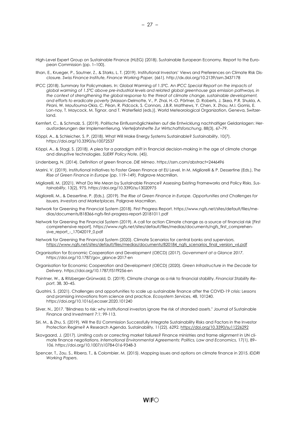- Ilhan, E., Krueger, P., Sautner, Z., & Starks, L. T. (2019). Institutional Investors' Views and Preferences on Climate Risk Disclosure. Swiss Finance Institute, Finance Working Paper, (661). http://dx.doi.org/10.2139/ssrn.3437178
- IPCC (2018). Summary for Policymakers. In: Global Warming of 1.5°C. An IPCC Special Report on the impacts of global warming of 1.5°C above pre-industrial levels and related global greenhouse gas emission pathways, in the context of strengthening the global response to the threat of climate change, sustainable development, and efforts to eradicate poverty [Masson-Delmotte, V., P. Zhai, H.-O. Pörtner, D. Roberts, J. Skea, P.R. Shukla, A. Pirani, W. Moufouma-Okia, C. Péan, R. Pidcock, S. Connors, J.B.R. Matthews, Y. Chen, X. Zhou, M.I. Gomis, E. Lon-noy, T. Maycock, M. Tignor, and T. Waterfield (eds.)]. World Meteorological Organization, Geneva, Switzerland.
- Kemfert, C., & Schmalz, S. (2019). Politische Einflussmöglichkeiten auf die Entwicklung nachhaltiger Geldanlagen: Herausforderungen der Implementierung. Vierteljahrshefte Zur Wirtschaftsforschung, 88(3), 67–79.
- Köppl, A., & Schleicher, S. P. (2018). What Will Make Energy Systems Sustainable? Sustainability, 10(7). https://doi.org/10.3390/su10072537
- Köppl, A., & Stagl, S. (2018). A plea for a paradigm shift in financial decision-making in the age of climate change and disruptive technologies. SUERF Policy Note, (45).
- Lindenberg, N. (2014). Definition of green finance. DIE Mimeo. https://ssrn.com/abstract=2446496
- Marini, V. (2019). Institutional Initiatives to Foster Green Finance at EU Level. In M. Migliorelli & P. Dessertine (Eds.), The Rise of Green Finance in Europe (pp. 119–149). Palgrave Macmillan.
- Migliorelli, M. (2021). What Do We Mean by Sustainable Finance? Assessing Existing Frameworks and Policy Risks. Sustainability, 13(2), 975. https://doi.org/10.3390/su13020975
- Migliorelli, M., & Dessertine, P. (Eds.). (2019). The Rise of Green Finance in Europe. Opportunities and Challenges for Issuers, Investors and Marketplaces. Palgrave Macmillan.
- Network for Greening the Financial System (2018). First Progress Report. https://www.ngfs.net/sites/default/files/medias/documents/818366-ngfs-first-progress-report-20181011.pdf
- Network for Greening the Financial System (2019). A call for action Climate change as a source of financial risk [First comprehensive report]. https://www.ngfs.net/sites/default/files/medias/documents/ngfs\_first\_comprehensive\_report\_ -\_17042019\_0.pdf
- Network for Greening the Financial System (2020). Climate Scenarios for central banks and supervisors. https://www.ngfs.net/sites/default/files/medias/documents/820184\_ngfs\_scenarios\_final\_version\_v6.pdf
- Organisation for Economic Cooperation and Development (OECD) (2017). Government at a Glance 2017. https://doi.org/10.1787/gov\_glance-2017-en
- Organisation for Economic Cooperation and Development (OECD) (2020). Green Infrastructure in the Decade for Delivery. https://doi.org/10.1787/f51f9256-en
- Pointner, W., & Ritzberger-Grünwald, D. (2019). Climate change as a risk to financial stability. Financial Stability Report, 38, 30–45.
- Quatrini, S. (2021). Challenges and opportunities to scale up sustainable finance after the COVID-19 crisis: Lessons and promising innovations from science and practice. Ecosystem Services, 48, 101240. https://doi.org/10.1016/j.ecoser.2020.101240
- Silver, N., 2017. "Blindness to risk: why institutional investors ignore the risk of stranded assets." Journal of Sustainable Finance and Investment 7:1; 99-113.
- Siri, M., & Zhu, S. (2019). Will the EU Commission Successfully Integrate Sustainability Risks and Factors in the Investor Protection Regime? A Research Agenda. Sustainability, 11(22), 6292. https://doi.org/10.3390/su11226292
- Skovgaard, J. (2017). Limiting costs or correcting market failures? Finance ministries and frame alignment in UN climate finance negotiations. International Environmental Agreements: Politics, Law and Economics, 17(1), 89– 106. https://doi.org/10.1007/s10784-016-9348-3
- Spencer, T., Zou, S., Ribera, T., & Colombier, M. (2015). Mapping issues and options on climate finance in 2015. IDDRI Working Papers.